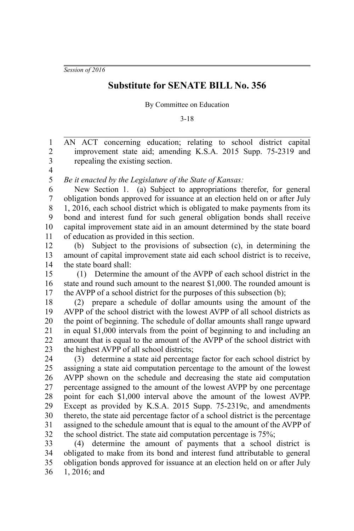*Session of 2016*

## **Substitute for SENATE BILL No. 356**

By Committee on Education

3-18

AN ACT concerning education; relating to school district capital improvement state aid; amending K.S.A. 2015 Supp. 75-2319 and repealing the existing section. 1 2 3

4

*Be it enacted by the Legislature of the State of Kansas:* 5

New Section 1. (a) Subject to appropriations therefor, for general obligation bonds approved for issuance at an election held on or after July 1, 2016, each school district which is obligated to make payments from its bond and interest fund for such general obligation bonds shall receive capital improvement state aid in an amount determined by the state board of education as provided in this section. 6 7 8 9 10 11

(b) Subject to the provisions of subsection (c), in determining the amount of capital improvement state aid each school district is to receive, the state board shall: 12 13 14

 (1) Determine the amount of the AVPP of each school district in the state and round such amount to the nearest \$1,000. The rounded amount is the AVPP of a school district for the purposes of this subsection (b); 15 16 17

(2) prepare a schedule of dollar amounts using the amount of the AVPP of the school district with the lowest AVPP of all school districts as the point of beginning. The schedule of dollar amounts shall range upward in equal \$1,000 intervals from the point of beginning to and including an amount that is equal to the amount of the AVPP of the school district with the highest AVPP of all school districts; 18 19 20 21 22 23

(3) determine a state aid percentage factor for each school district by assigning a state aid computation percentage to the amount of the lowest AVPP shown on the schedule and decreasing the state aid computation percentage assigned to the amount of the lowest AVPP by one percentage point for each \$1,000 interval above the amount of the lowest AVPP. Except as provided by K.S.A. 2015 Supp. 75-2319c, and amendments thereto, the state aid percentage factor of a school district is the percentage assigned to the schedule amount that is equal to the amount of the AVPP of the school district. The state aid computation percentage is 75%; 24 25 26 27 28 29 30 31 32

(4) determine the amount of payments that a school district is obligated to make from its bond and interest fund attributable to general obligation bonds approved for issuance at an election held on or after July 1, 2016; and 33 34 35 36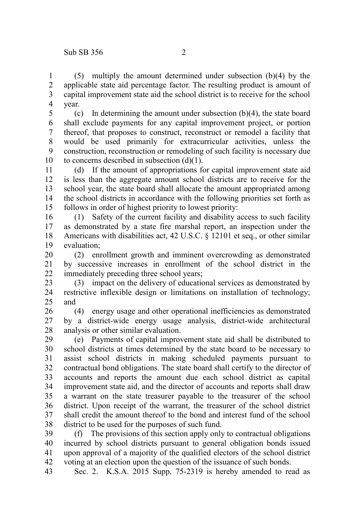(5) multiply the amount determined under subsection (b)(4) by the applicable state aid percentage factor. The resulting product is amount of capital improvement state aid the school district is to receive for the school year. 1 2 3 4

(c) In determining the amount under subsection (b)(4), the state board shall exclude payments for any capital improvement project, or portion thereof, that proposes to construct, reconstruct or remodel a facility that would be used primarily for extracurricular activities, unless the construction, reconstruction or remodeling of such facility is necessary due to concerns described in subsection (d)(1). 5 6 7 8 9 10

(d) If the amount of appropriations for capital improvement state aid is less than the aggregate amount school districts are to receive for the school year, the state board shall allocate the amount appropriated among the school districts in accordance with the following priorities set forth as follows in order of highest priority to lowest priority: 11 12 13 14 15

(1) Safety of the current facility and disability access to such facility as demonstrated by a state fire marshal report, an inspection under the Americans with disabilities act, 42 U.S.C. § 12101 et seq., or other similar evaluation; 16 17 18 19

(2) enrollment growth and imminent overcrowding as demonstrated by successive increases in enrollment of the school district in the immediately preceding three school years; 20 21 22

(3) impact on the delivery of educational services as demonstrated by restrictive inflexible design or limitations on installation of technology; and 23 24  $25$ 

(4) energy usage and other operational inefficiencies as demonstrated by a district-wide energy usage analysis, district-wide architectural analysis or other similar evaluation. 26 27 28

(e) Payments of capital improvement state aid shall be distributed to school districts at times determined by the state board to be necessary to assist school districts in making scheduled payments pursuant to contractual bond obligations. The state board shall certify to the director of accounts and reports the amount due each school district as capital improvement state aid, and the director of accounts and reports shall draw a warrant on the state treasurer payable to the treasurer of the school district. Upon receipt of the warrant, the treasurer of the school district shall credit the amount thereof to the bond and interest fund of the school district to be used for the purposes of such fund. 29 30 31 32 33 34 35 36 37 38

(f) The provisions of this section apply only to contractual obligations incurred by school districts pursuant to general obligation bonds issued upon approval of a majority of the qualified electors of the school district voting at an election upon the question of the issuance of such bonds. 39 40 41 42

Sec. 2. K.S.A. 2015 Supp. 75-2319 is hereby amended to read as 43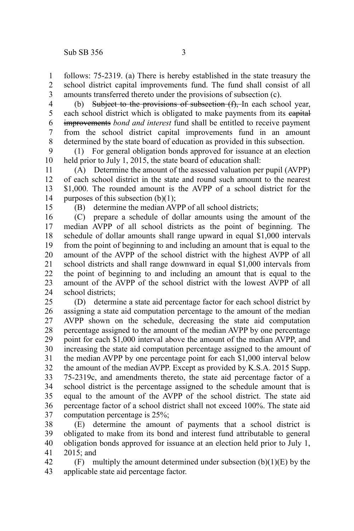follows: 75-2319. (a) There is hereby established in the state treasury the school district capital improvements fund. The fund shall consist of all amounts transferred thereto under the provisions of subsection (c). 1 2 3

(b) Subject to the provisions of subsection (f). In each school year, each school district which is obligated to make payments from its eapital improvements *bond and interest* fund shall be entitled to receive payment from the school district capital improvements fund in an amount determined by the state board of education as provided in this subsection. 4 5 6 7 8

(1) For general obligation bonds approved for issuance at an election held prior to July 1, 2015, the state board of education shall: 9 10

(A) Determine the amount of the assessed valuation per pupil (AVPP) of each school district in the state and round such amount to the nearest \$1,000. The rounded amount is the AVPP of a school district for the purposes of this subsection  $(b)(1)$ ; 11 12 13 14

15

(B) determine the median AVPP of all school districts;

(C) prepare a schedule of dollar amounts using the amount of the median AVPP of all school districts as the point of beginning. The schedule of dollar amounts shall range upward in equal \$1,000 intervals from the point of beginning to and including an amount that is equal to the amount of the AVPP of the school district with the highest AVPP of all school districts and shall range downward in equal \$1,000 intervals from the point of beginning to and including an amount that is equal to the amount of the AVPP of the school district with the lowest AVPP of all school districts; 16 17 18 19 20 21 22 23 24

(D) determine a state aid percentage factor for each school district by assigning a state aid computation percentage to the amount of the median AVPP shown on the schedule, decreasing the state aid computation percentage assigned to the amount of the median AVPP by one percentage point for each \$1,000 interval above the amount of the median AVPP, and increasing the state aid computation percentage assigned to the amount of the median AVPP by one percentage point for each \$1,000 interval below the amount of the median AVPP. Except as provided by K.S.A. 2015 Supp. 75-2319c, and amendments thereto, the state aid percentage factor of a school district is the percentage assigned to the schedule amount that is equal to the amount of the AVPP of the school district. The state aid percentage factor of a school district shall not exceed 100%. The state aid computation percentage is 25%; 25 26 27 28 29 30 31 32 33 34 35 36 37

(E) determine the amount of payments that a school district is obligated to make from its bond and interest fund attributable to general obligation bonds approved for issuance at an election held prior to July 1, 2015; and 38 39 40 41

(F) multiply the amount determined under subsection  $(b)(1)(E)$  by the applicable state aid percentage factor. 42 43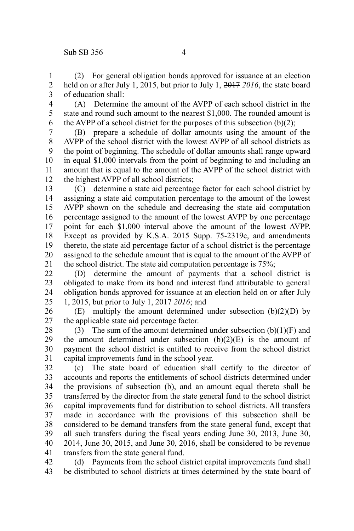(2) For general obligation bonds approved for issuance at an election held on or after July 1, 2015, but prior to July 1, 2017 *2016*, the state board of education shall: 1 2 3

4 5 6

(A) Determine the amount of the AVPP of each school district in the state and round such amount to the nearest \$1,000. The rounded amount is the AVPP of a school district for the purposes of this subsection  $(b)(2)$ ;

(B) prepare a schedule of dollar amounts using the amount of the AVPP of the school district with the lowest AVPP of all school districts as the point of beginning. The schedule of dollar amounts shall range upward in equal \$1,000 intervals from the point of beginning to and including an amount that is equal to the amount of the AVPP of the school district with the highest AVPP of all school districts; 7 8 9 10 11 12

(C) determine a state aid percentage factor for each school district by assigning a state aid computation percentage to the amount of the lowest AVPP shown on the schedule and decreasing the state aid computation percentage assigned to the amount of the lowest AVPP by one percentage point for each \$1,000 interval above the amount of the lowest AVPP. Except as provided by K.S.A. 2015 Supp. 75-2319c, and amendments thereto, the state aid percentage factor of a school district is the percentage assigned to the schedule amount that is equal to the amount of the AVPP of the school district. The state aid computation percentage is 75%; 13 14 15 16 17 18 19 20 21

(D) determine the amount of payments that a school district is obligated to make from its bond and interest fund attributable to general obligation bonds approved for issuance at an election held on or after July 1, 2015, but prior to July 1, 2017 *2016*; and 22 23 24 25

(E) multiply the amount determined under subsection  $(b)(2)(D)$  by the applicable state aid percentage factor. 26 27

(3) The sum of the amount determined under subsection  $(b)(1)(F)$  and the amount determined under subsection  $(b)(2)(E)$  is the amount of payment the school district is entitled to receive from the school district capital improvements fund in the school year. 28 29 30 31

(c) The state board of education shall certify to the director of accounts and reports the entitlements of school districts determined under the provisions of subsection (b), and an amount equal thereto shall be transferred by the director from the state general fund to the school district capital improvements fund for distribution to school districts. All transfers made in accordance with the provisions of this subsection shall be considered to be demand transfers from the state general fund, except that all such transfers during the fiscal years ending June 30, 2013, June 30, 2014, June 30, 2015, and June 30, 2016, shall be considered to be revenue transfers from the state general fund. 32 33 34 35 36 37 38 39 40 41

(d) Payments from the school district capital improvements fund shall be distributed to school districts at times determined by the state board of 42 43